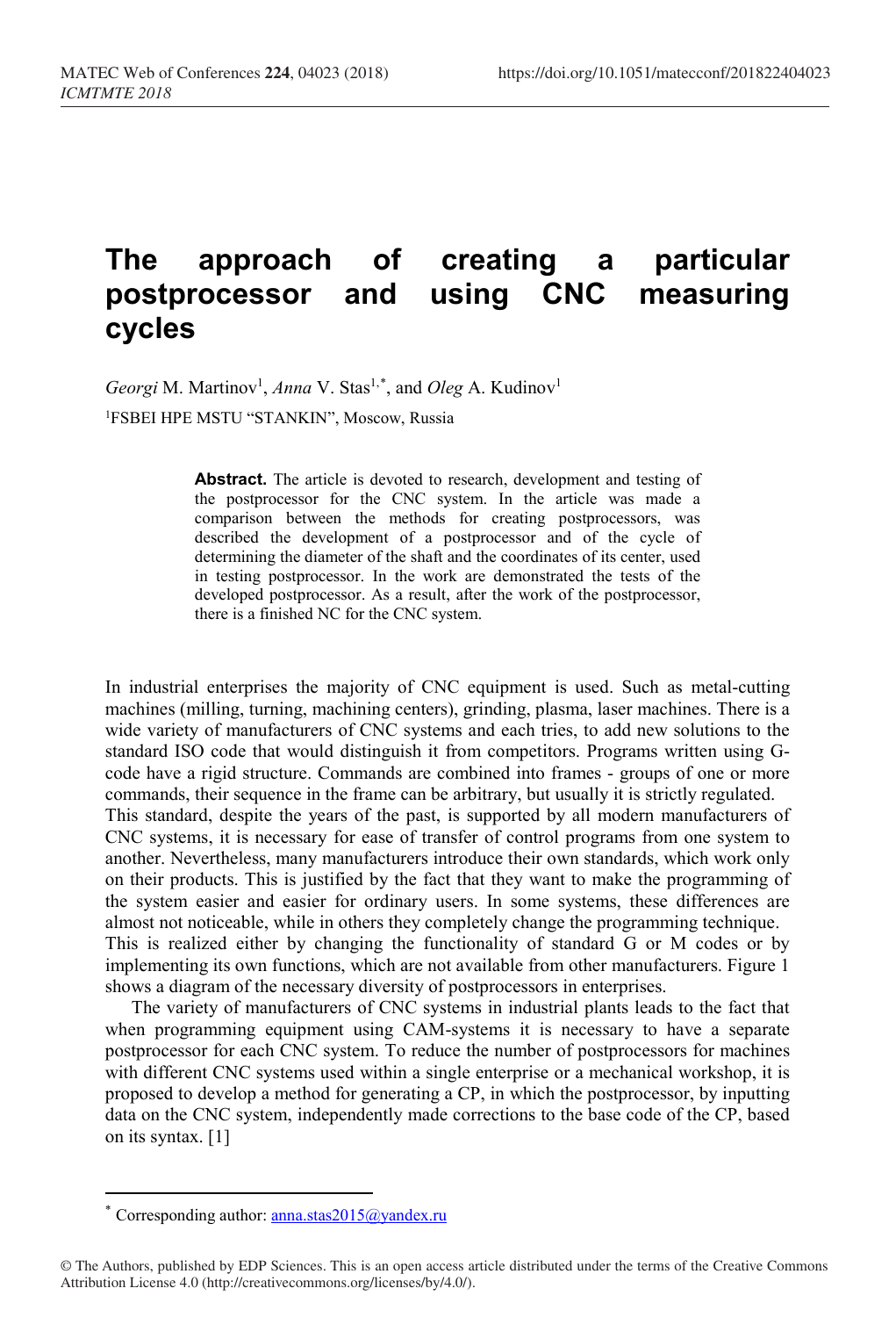## **The approach of creating a particular postprocessor and using CNC measuring cycles**

Georgi M. Martinov<sup>1</sup>, Anna V. Stas<sup>1,[\\*](#page-0-0)</sup>, and Oleg A. Kudinov<sup>1</sup> 1FSBEI HPE MSTU "STANKIN", Moscow, Russia

> **Abstract.** The article is devoted to research, development and testing of the postprocessor for the CNC system. In the article was made a comparison between the methods for creating postprocessors, was described the development of a postprocessor and of the cycle of determining the diameter of the shaft and the coordinates of its center, used in testing postprocessor. In the work are demonstrated the tests of the developed postprocessor. As a result, after the work of the postprocessor, there is a finished NC for the CNC system.

In industrial enterprises the majority of CNC equipment is used. Such as metal-cutting machines (milling, turning, machining centers), grinding, plasma, laser machines. There is a wide variety of manufacturers of CNC systems and each tries, to add new solutions to the standard ISO code that would distinguish it from competitors. Programs written using Gcode have a rigid structure. Commands are combined into frames - groups of one or more commands, their sequence in the frame can be arbitrary, but usually it is strictly regulated. This standard, despite the years of the past, is supported by all modern manufacturers of CNC systems, it is necessary for ease of transfer of control programs from one system to another. Nevertheless, many manufacturers introduce their own standards, which work only on their products. This is justified by the fact that they want to make the programming of the system easier and easier for ordinary users. In some systems, these differences are almost not noticeable, while in others they completely change the programming technique. This is realized either by changing the functionality of standard G or M codes or by implementing its own functions, which are not available from other manufacturers. Figure 1 shows a diagram of the necessary diversity of postprocessors in enterprises.

The variety of manufacturers of CNC systems in industrial plants leads to the fact that when programming equipment using CAM-systems it is necessary to have a separate postprocessor for each CNC system. To reduce the number of postprocessors for machines with different CNC systems used within a single enterprise or a mechanical workshop, it is proposed to develop a method for generating a CP, in which the postprocessor, by inputting data on the CNC system, independently made corrections to the base code of the CP, based on its syntax. [1]

 $\overline{a}$ 

Corresponding author:  $anna.stas2015@yandex.ru$ 

<span id="page-0-0"></span><sup>©</sup> The Authors, published by EDP Sciences. This is an open access article distributed under the terms of the Creative Commons Attribution License 4.0 (http://creativecommons.org/licenses/by/4.0/).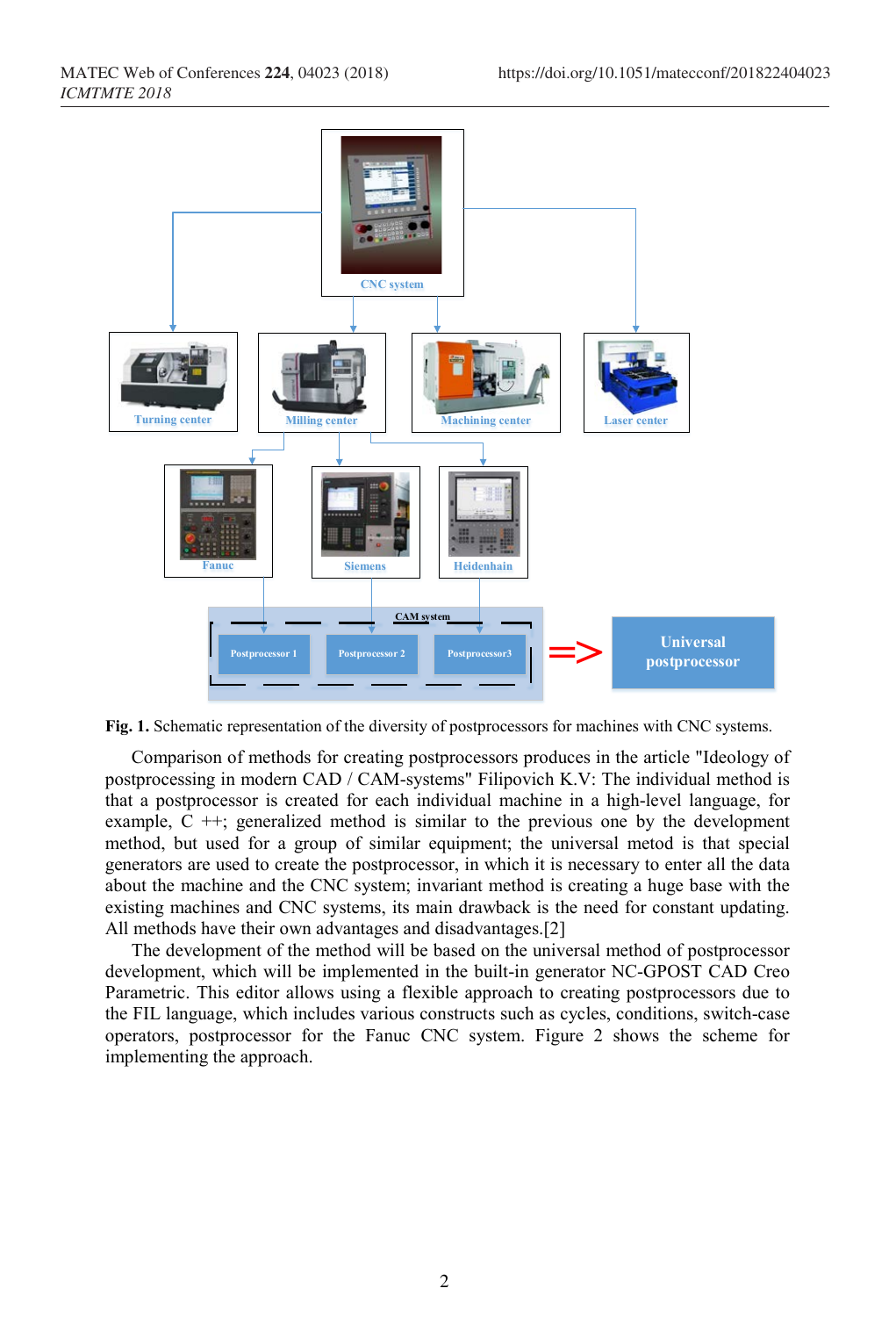

**Fig. 1.** Schematic representation of the diversity of postprocessors for machines with CNC systems.

Comparison of methods for creating postprocessors produces in the article "Ideology of postprocessing in modern CAD / CAM-systems" Filipovich K.V: The individual method is that a postprocessor is created for each individual machine in a high-level language, for example, C ++; generalized method is similar to the previous one by the development method, but used for a group of similar equipment; the universal metod is that special generators are used to create the postprocessor, in which it is necessary to enter all the data about the machine and the CNC system; invariant method is creating a huge base with the existing machines and CNC systems, its main drawback is the need for constant updating. All methods have their own advantages and disadvantages.[2]

The development of the method will be based on the universal method of postprocessor development, which will be implemented in the built-in generator NC-GPOST CAD Creo Parametric. This editor allows using a flexible approach to creating postprocessors due to the FIL language, which includes various constructs such as cycles, conditions, switch-case operators, postprocessor for the Fanuc CNC system. Figure 2 shows the scheme for implementing the approach.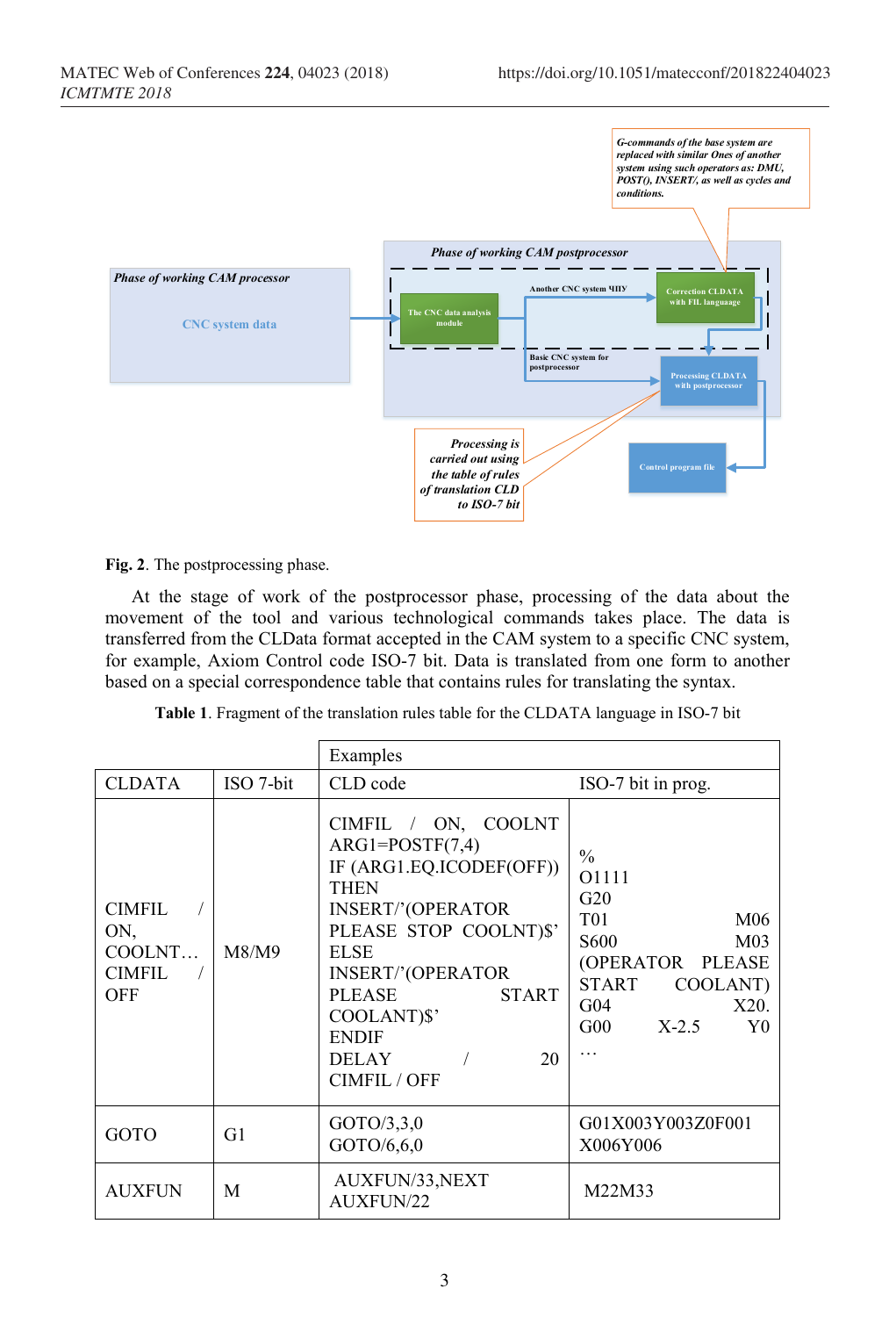

**Fig. 2**. The postprocessing phase.

At the stage of work of the postprocessor phase, processing of the data about the movement of the tool and various technological commands takes place. The data is transferred from the CLData format accepted in the CAM system to a specific CNC system, for example, Axiom Control code ISO-7 bit. Data is translated from one form to another based on a special correspondence table that contains rules for translating the syntax.

| Table 1. Fragment of the translation rules table for the CLDATA language in ISO-7 bit |  |  |
|---------------------------------------------------------------------------------------|--|--|
|---------------------------------------------------------------------------------------|--|--|

|                                                               |           | Examples                                                                                                                                                                                                                                                                       |                                                                                                                                                                                                         |
|---------------------------------------------------------------|-----------|--------------------------------------------------------------------------------------------------------------------------------------------------------------------------------------------------------------------------------------------------------------------------------|---------------------------------------------------------------------------------------------------------------------------------------------------------------------------------------------------------|
| <b>CLDATA</b>                                                 | ISO 7-bit | CLD code                                                                                                                                                                                                                                                                       | ISO-7 bit in prog.                                                                                                                                                                                      |
| <b>CIMFIL</b><br>ON.<br>COOLNT<br><b>CIMFIL</b><br><b>OFF</b> | M8/M9     | CIMFIL / ON, COOLNT<br>$ARG1 = POSTF(7,4)$<br>IF (ARG1.EQ.ICODEF(OFF))<br><b>THEN</b><br>INSERT/'(OPERATOR<br>PLEASE STOP COOLNT)\$'<br><b>ELSE</b><br><b>INSERT/'(OPERATOR</b><br>PLEASE<br><b>START</b><br>COOLANT)\$'<br><b>ENDIF</b><br>20<br><b>DELAY</b><br>CIMFIL / OFF | $\frac{0}{0}$<br>01111<br>G20<br>T <sub>0</sub> 1<br>M <sub>06</sub><br>S600<br>M <sub>03</sub><br>(OPERATOR PLEASE<br><b>START</b><br>COOLANT)<br>G04<br>X20.<br>$G00 \t X-2.5$<br>Y <sub>0</sub><br>. |
| <b>GOTO</b>                                                   | G1        | GOTO/3,3,0<br>GOTO/ $6,6,0$                                                                                                                                                                                                                                                    | G01X003Y003Z0F001<br>X006Y006                                                                                                                                                                           |
| <b>AUXFUN</b>                                                 | M         | AUXFUN/33, NEXT<br>AUXFUN/22                                                                                                                                                                                                                                                   | M22M33                                                                                                                                                                                                  |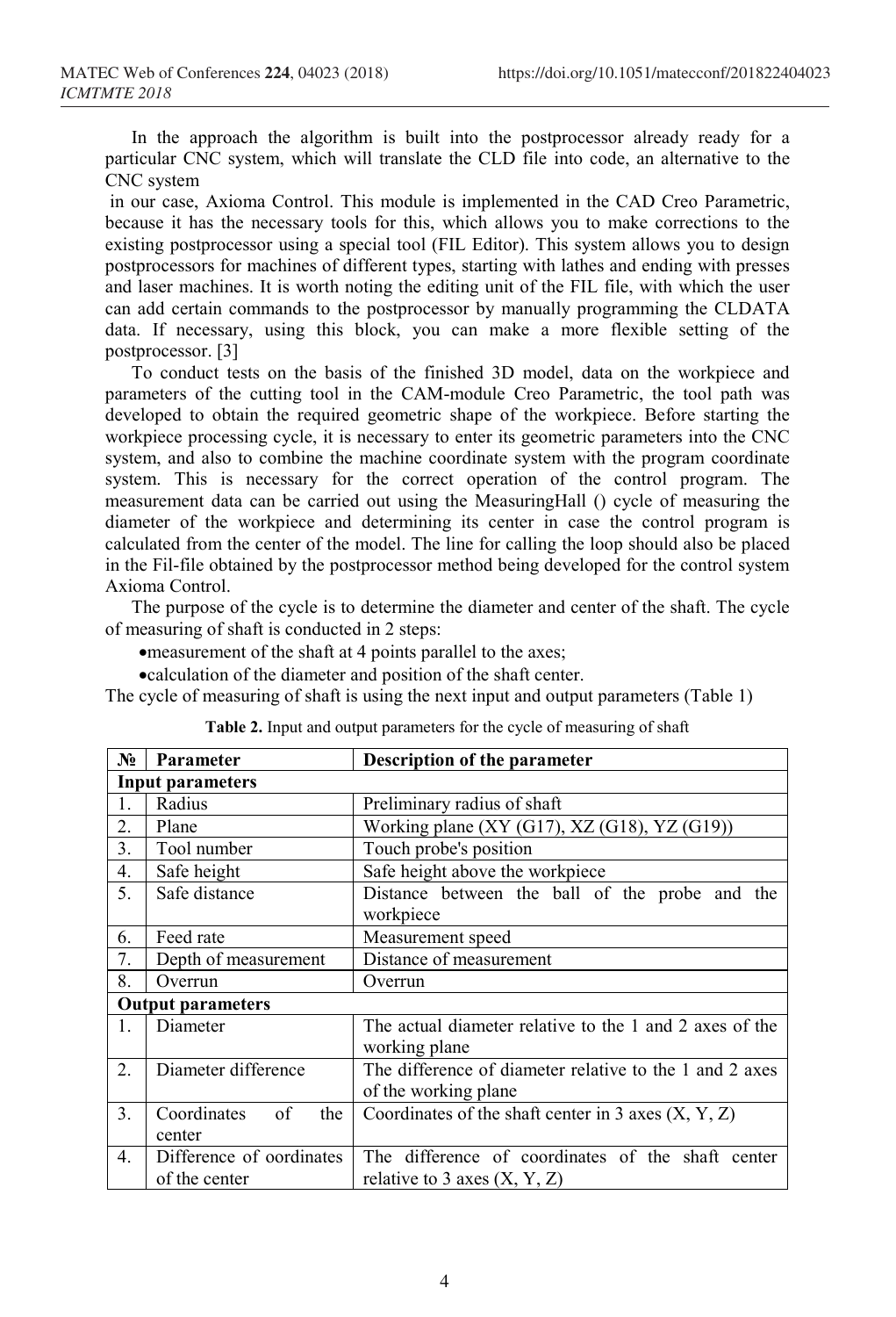In the approach the algorithm is built into the postprocessor already ready for a particular CNC system, which will translate the CLD file into code, an alternative to the CNC system

in our case, Axioma Control. This module is implemented in the CAD Creo Parametric, because it has the necessary tools for this, which allows you to make corrections to the existing postprocessor using a special tool (FIL Editor). This system allows you to design postprocessors for machines of different types, starting with lathes and ending with presses and laser machines. It is worth noting the editing unit of the FIL file, with which the user can add certain commands to the postprocessor by manually programming the CLDATA data. If necessary, using this block, you can make a more flexible setting of the postprocessor. [3]

To conduct tests on the basis of the finished 3D model, data on the workpiece and parameters of the cutting tool in the CAM-module Creo Parametric, the tool path was developed to obtain the required geometric shape of the workpiece. Before starting the workpiece processing cycle, it is necessary to enter its geometric parameters into the CNC system, and also to combine the machine coordinate system with the program coordinate system. This is necessary for the correct operation of the control program. The measurement data can be carried out using the MeasuringHall () cycle of measuring the diameter of the workpiece and determining its center in case the control program is calculated from the center of the model. The line for calling the loop should also be placed in the Fil-file obtained by the postprocessor method being developed for the control system Axioma Control.

The purpose of the cycle is to determine the diameter and center of the shaft. The cycle of measuring of shaft is conducted in 2 steps:

- •measurement of the shaft at 4 points parallel to the axes;
- •calculation of the diameter and position of the shaft center.

<span id="page-3-0"></span>The cycle of measuring of shaft is using the next input and output parameters [\(Table](#page-3-0) 1)

| $N_2$ | Parameter                                                                    | Description of the parameter                                                        |  |
|-------|------------------------------------------------------------------------------|-------------------------------------------------------------------------------------|--|
|       | <b>Input parameters</b>                                                      |                                                                                     |  |
| 1.    | Radius                                                                       | Preliminary radius of shaft                                                         |  |
| 2.    | Plane                                                                        | Working plane $(XY(G17), XZ(G18), YZ(G19))$                                         |  |
| 3.    | Tool number                                                                  | Touch probe's position                                                              |  |
| 4.    | Safe height above the workpiece<br>Safe height                               |                                                                                     |  |
| 5.    | Safe distance<br>Distance between the ball of the probe and the<br>workpiece |                                                                                     |  |
| 6.    | Feed rate                                                                    | Measurement speed                                                                   |  |
| 7.    | Distance of measurement<br>Depth of measurement                              |                                                                                     |  |
| 8.    | Overrun<br>Overrun                                                           |                                                                                     |  |
|       | <b>Output parameters</b>                                                     |                                                                                     |  |
| 1.    | Diameter                                                                     | The actual diameter relative to the 1 and 2 axes of the<br>working plane            |  |
| 2.    | Diameter difference                                                          | The difference of diameter relative to the 1 and 2 axes<br>of the working plane     |  |
| 3.    | Coordinates<br>the<br>of<br>center                                           | Coordinates of the shaft center in 3 axes $(X, Y, Z)$                               |  |
| 4.    | Difference of oordinates<br>of the center                                    | The difference of coordinates of the shaft center<br>relative to 3 axes $(X, Y, Z)$ |  |

|  |  |  |  |  |  | Table 2. Input and output parameters for the cycle of measuring of shaft |  |
|--|--|--|--|--|--|--------------------------------------------------------------------------|--|
|--|--|--|--|--|--|--------------------------------------------------------------------------|--|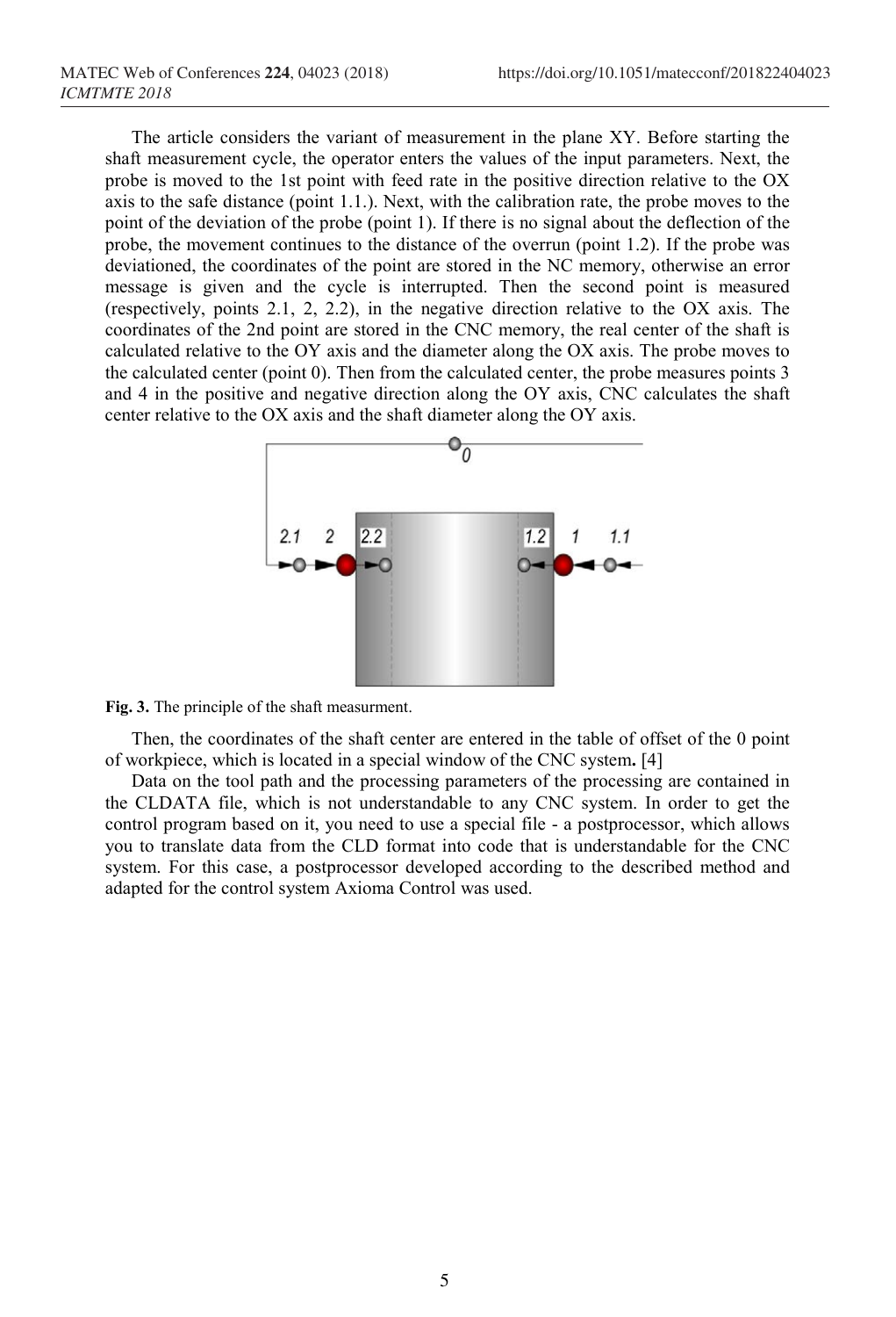The article considers the variant of measurement in the plane XY. Before starting the shaft measurement cycle, the operator enters the values of the input parameters. Next, the probe is moved to the 1st point with feed rate in the positive direction relative to the OX axis to the safe distance (point 1.1.). Next, with the calibration rate, the probe moves to the point of the deviation of the probe (point 1). If there is no signal about the deflection of the probe, the movement continues to the distance of the overrun (point 1.2). If the probe was deviationed, the coordinates of the point are stored in the NC memory, otherwise an error message is given and the cycle is interrupted. Then the second point is measured (respectively, points 2.1, 2, 2.2), in the negative direction relative to the OX axis. The coordinates of the 2nd point are stored in the CNC memory, the real center of the shaft is calculated relative to the OY axis and the diameter along the OX axis. The probe moves to the calculated center (point 0). Then from the calculated center, the probe measures points 3 and 4 in the positive and negative direction along the OY axis, CNC calculates the shaft center relative to the OX axis and the shaft diameter along the OY axis.



**Fig. 3.** The principle of the shaft measurment.

Then, the coordinates of the shaft center are entered in the table of offset of the 0 point of workpiece, which is located in a special window of the CNC system**.** [4]

Data on the tool path and the processing parameters of the processing are contained in the CLDATA file, which is not understandable to any CNC system. In order to get the control program based on it, you need to use a special file - a postprocessor, which allows you to translate data from the CLD format into code that is understandable for the CNC system. For this case, a postprocessor developed according to the described method and adapted for the control system Axioma Control was used.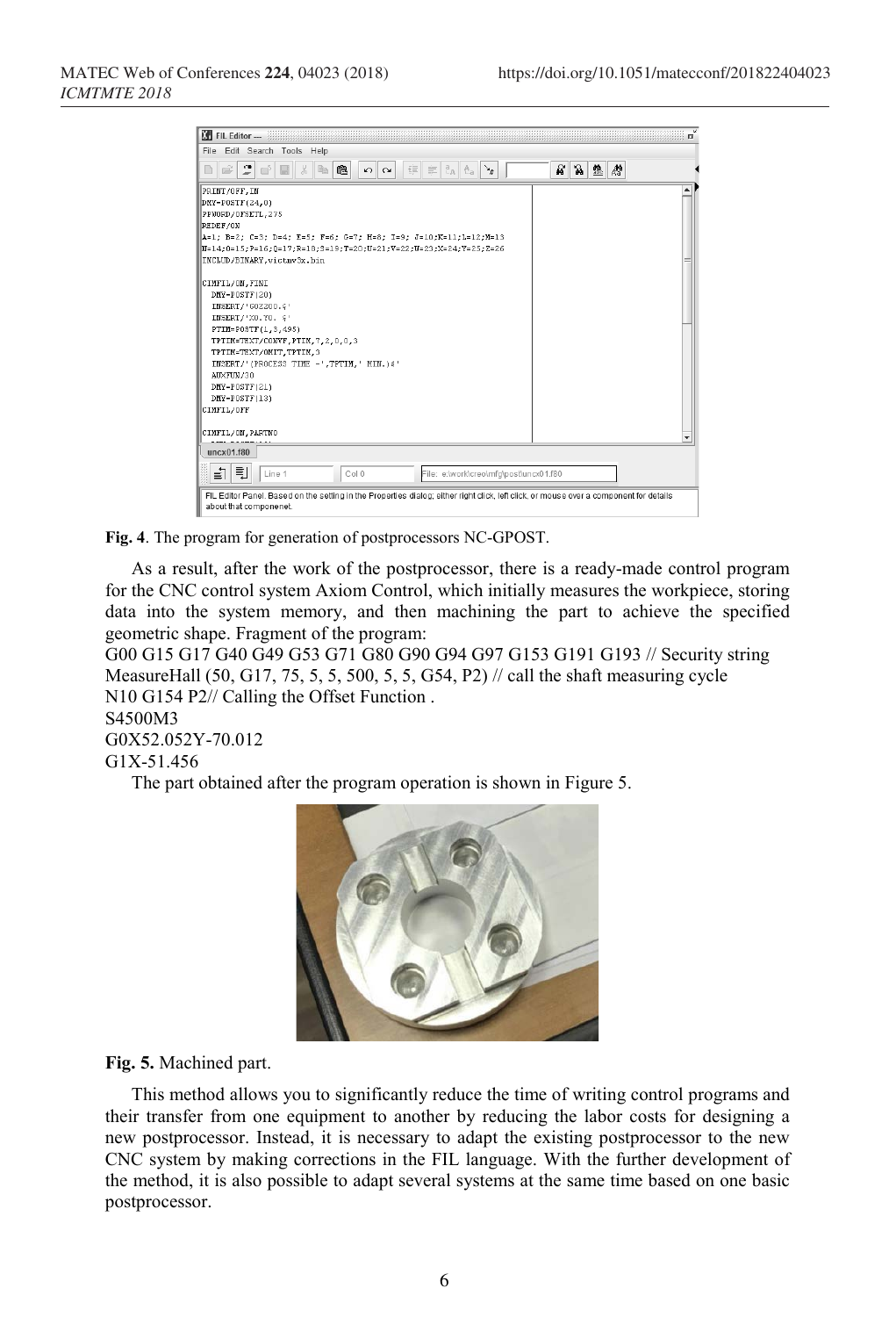| FIL Editor ---                                                                                                                                                   | ्रा प्र                                |  |  |
|------------------------------------------------------------------------------------------------------------------------------------------------------------------|----------------------------------------|--|--|
| File Edit Search Tools Help                                                                                                                                      |                                        |  |  |
| $\mathbb{R}$ 2 $\mathbb{C}$ 8 $\mathbb{R}$ 3 $\mathbb{R}$<br>隐<br>建 电 tal tal ><br>⊪<br>$\Omega$ $\Omega$                                                        | 斎<br>$\mathbf{a}$<br>艶<br>l Aª         |  |  |
| PRINT/OFF, IN                                                                                                                                                    |                                        |  |  |
| DMY=POSTF(24,0)                                                                                                                                                  |                                        |  |  |
| PPUORD/OFSETL, 275                                                                                                                                               |                                        |  |  |
| <b>REDEF/ON</b>                                                                                                                                                  |                                        |  |  |
| A=1; B=2; C=3; D=4; E=5; F=6; G=7; H=8; I=9; J=10;K=11;L=12;M=13                                                                                                 |                                        |  |  |
| W=14;0=15;P=16;0=17;R=18;S=19;T=20;U=21;V=22;W=23;X=24;Y=25;2=26                                                                                                 |                                        |  |  |
| INCLUD/BINARY, victmv3x.bin                                                                                                                                      |                                        |  |  |
| CIMFIL/ON, FINI                                                                                                                                                  |                                        |  |  |
| DMY=POSTF(20)                                                                                                                                                    |                                        |  |  |
| INSERT/ '60Z200.4'                                                                                                                                               |                                        |  |  |
| INSERT/'X0.Y0. \$'                                                                                                                                               |                                        |  |  |
| PTIM=POSTF(1,3,495)                                                                                                                                              |                                        |  |  |
| TPTIM=TEXT/CONVF, PTIM, 7, 2, 0, 0, 3                                                                                                                            |                                        |  |  |
| TPTIM=TEXT/OMIT, TPTIM, 3                                                                                                                                        |                                        |  |  |
| INSERT/'(PROCESS TIME -', TPTIM, ' MIN. ) & '                                                                                                                    |                                        |  |  |
| AUXFUN/30                                                                                                                                                        |                                        |  |  |
| DMY=POSTF(21)                                                                                                                                                    |                                        |  |  |
| $DMY = POSTF(13)$                                                                                                                                                |                                        |  |  |
| CIMFIL/OFF                                                                                                                                                       |                                        |  |  |
|                                                                                                                                                                  |                                        |  |  |
| CIMFIL/ON, PARTNO                                                                                                                                                | ÷                                      |  |  |
| uncx01.f80                                                                                                                                                       |                                        |  |  |
| 訇<br>∎<br>Col 0<br>Line 1                                                                                                                                        | File: e:\work\creo\mfa\post\uncx01.f80 |  |  |
| FIL Editor Panel, Based on the setting in the Properties dialog: either right click, left click, or mouse over a component for details<br>about that componenet. |                                        |  |  |

**Fig. 4**. The program for generation of postprocessors NC-GPOST.

As a result, after the work of the postprocessor, there is a ready-made control program for the CNC control system Axiom Control, which initially measures the workpiece, storing data into the system memory, and then machining the part to achieve the specified geometric shape. Fragment of the program:

G00 G15 G17 G40 G49 G53 G71 G80 G90 G94 G97 G153 G191 G193 // Security string MeasureHall (50, G17, 75, 5, 5, 500, 5, 5, G54, P2) // call the shaft measuring cycle N10 G154 P2// Calling the Offset Function . S4500M3

```
G0X52.052Y-70.012
G1X-51.456
```
The part obtained after the program operation is shown in Figure 5.



## **Fig. 5.** Machined part.

This method allows you to significantly reduce the time of writing control programs and their transfer from one equipment to another by reducing the labor costs for designing a new postprocessor. Instead, it is necessary to adapt the existing postprocessor to the new CNC system by making corrections in the FIL language. With the further development of the method, it is also possible to adapt several systems at the same time based on one basic postprocessor.